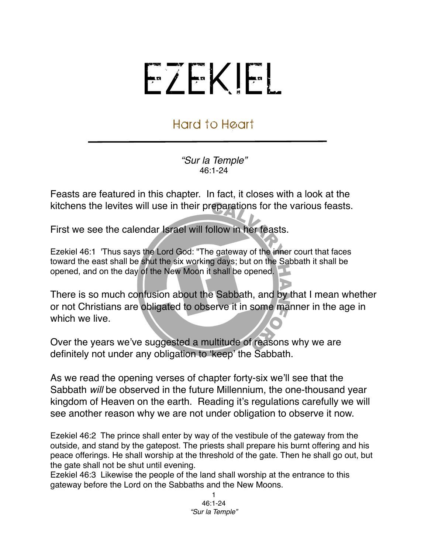## EZEKIEL

## Hard to Heart

*"Sur la Temple"* 46:1-24

Feasts are featured in this chapter. In fact, it closes with a look at the kitchens the levites will use in their preparations for the various feasts.

First we see the calendar Israel will follow in her feasts.

Ezekiel 46:1 'Thus says the Lord God: "The gateway of the inner court that faces toward the east shall be shut the six working days; but on the Sabbath it shall be opened, and on the day of the New Moon it shall be opened.

There is so much confusion about the Sabbath, and by that I mean whether or not Christians are obligated to observe it in some manner in the age in which we live.

Over the years we've suggested a multitude of reasons why we are definitely not under any obligation to ʻkeep' the Sabbath.

As we read the opening verses of chapter forty-six we'll see that the Sabbath *will* be observed in the future Millennium, the one-thousand year kingdom of Heaven on the earth. Reading it's regulations carefully we will see another reason why we are not under obligation to observe it now.

Ezekiel 46:2 The prince shall enter by way of the vestibule of the gateway from the outside, and stand by the gatepost. The priests shall prepare his burnt offering and his peace offerings. He shall worship at the threshold of the gate. Then he shall go out, but the gate shall not be shut until evening.

Ezekiel 46:3 Likewise the people of the land shall worship at the entrance to this gateway before the Lord on the Sabbaths and the New Moons.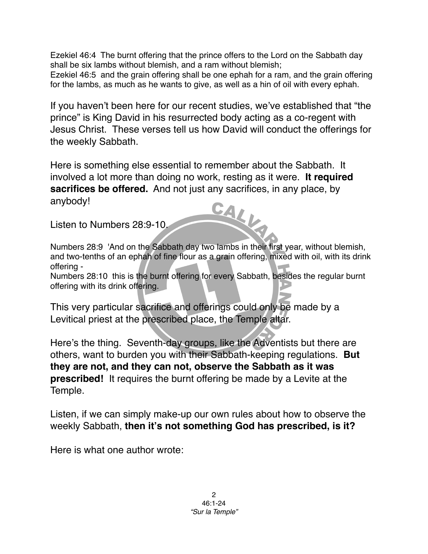Ezekiel 46:4 The burnt offering that the prince offers to the Lord on the Sabbath day shall be six lambs without blemish, and a ram without blemish; Ezekiel 46:5 and the grain offering shall be one ephah for a ram, and the grain offering for the lambs, as much as he wants to give, as well as a hin of oil with every ephah.

If you haven't been here for our recent studies, we've established that "the prince" is King David in his resurrected body acting as a co-regent with Jesus Christ. These verses tell us how David will conduct the offerings for the weekly Sabbath.

Here is something else essential to remember about the Sabbath. It involved a lot more than doing no work, resting as it were. **It required sacrifices be offered.** And not just any sacrifices, in any place, by anybody! CALL

Listen to Numbers 28:9-10.

Numbers 28:9 'And on the Sabbath day two lambs in their first year, without blemish, and two-tenths of an ephah of fine flour as a grain offering, mixed with oil, with its drink offering -

Numbers 28:10 this is the burnt offering for every Sabbath, besides the regular burnt offering with its drink offering.

This very particular sacrifice and offerings could only be made by a Levitical priest at the prescribed place, the Temple altar.

Here's the thing. Seventh-day groups, like the Adventists but there are others, want to burden you with their Sabbath-keeping regulations. **But they are not, and they can not, observe the Sabbath as it was prescribed!** It requires the burnt offering be made by a Levite at the Temple.

Listen, if we can simply make-up our own rules about how to observe the weekly Sabbath, **then it's not something God has prescribed, is it?**

Here is what one author wrote: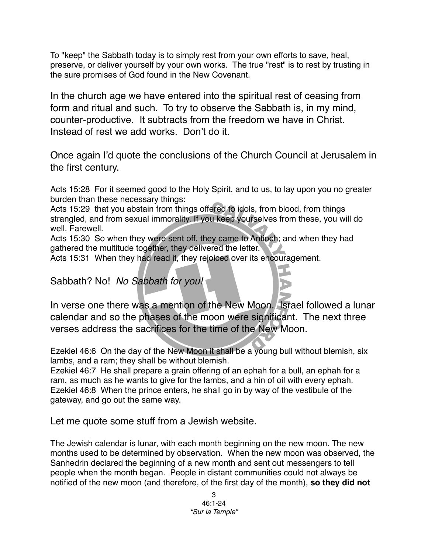To "keep" the Sabbath today is to simply rest from your own efforts to save, heal, preserve, or deliver yourself by your own works. The true "rest" is to rest by trusting in the sure promises of God found in the New Covenant.

In the church age we have entered into the spiritual rest of ceasing from form and ritual and such. To try to observe the Sabbath is, in my mind, counter-productive. It subtracts from the freedom we have in Christ. Instead of rest we add works. Don't do it.

Once again I'd quote the conclusions of the Church Council at Jerusalem in the first century.

Acts 15:28 For it seemed good to the Holy Spirit, and to us, to lay upon you no greater burden than these necessary things:

Acts 15:29 that you abstain from things offered to idols, from blood, from things strangled, and from sexual immorality. If you keep yourselves from these, you will do well. Farewell.

Acts 15:30 So when they were sent off, they came to Antioch; and when they had gathered the multitude together, they delivered the letter.

Acts 15:31 When they had read it, they rejoiced over its encouragement.

## Sabbath? No! *No Sabbath for you!*

In verse one there was a mention of the New Moon. Israel followed a lunar calendar and so the phases of the moon were significant. The next three verses address the sacrifices for the time of the New Moon.

Ezekiel 46:6 On the day of the New Moon it shall be a young bull without blemish, six lambs, and a ram; they shall be without blemish.

Ezekiel 46:7 He shall prepare a grain offering of an ephah for a bull, an ephah for a ram, as much as he wants to give for the lambs, and a hin of oil with every ephah. Ezekiel 46:8 When the prince enters, he shall go in by way of the vestibule of the gateway, and go out the same way.

Let me quote some stuff from a Jewish website.

The Jewish calendar is lunar, with each month beginning on the new moon. The new months used to be determined by observation. When the new moon was observed, the Sanhedrin declared the beginning of a new month and sent out messengers to tell people when the month began. People in distant communities could not always be notified of the new moon (and therefore, of the first day of the month), **so they did not**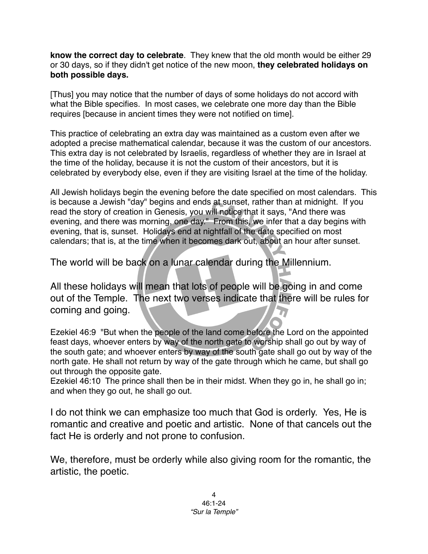**know the correct day to celebrate**. They knew that the old month would be either 29 or 30 days, so if they didn't get notice of the new moon, **they celebrated holidays on both possible days.**

[Thus] you may notice that the number of days of some holidays do not accord with what the Bible specifies. In most cases, we celebrate one more day than the Bible requires [because in ancient times they were not notified on time].

This practice of celebrating an extra day was maintained as a custom even after we adopted a precise mathematical calendar, because it was the custom of our ancestors. This extra day is not celebrated by Israelis, regardless of whether they are in Israel at the time of the holiday, because it is not the custom of their ancestors, but it is celebrated by everybody else, even if they are visiting Israel at the time of the holiday.

All Jewish holidays begin the evening before the date specified on most calendars. This is because a Jewish "day" begins and ends at sunset, rather than at midnight. If you read the story of creation in Genesis, you will notice that it says, "And there was evening, and there was morning, one day." From this, we infer that a day begins with evening, that is, sunset. Holidays end at nightfall of the date specified on most calendars; that is, at the time when it becomes dark out, about an hour after sunset.

The world will be back on a lunar calendar during the Millennium.

All these holidays will mean that lots of people will be going in and come out of the Temple. The next two verses indicate that there will be rules for coming and going.

Ezekiel 46:9 "But when the people of the land come before the Lord on the appointed feast days, whoever enters by way of the north gate to worship shall go out by way of the south gate; and whoever enters by way of the south gate shall go out by way of the north gate. He shall not return by way of the gate through which he came, but shall go out through the opposite gate.

Ezekiel 46:10 The prince shall then be in their midst. When they go in, he shall go in; and when they go out, he shall go out.

I do not think we can emphasize too much that God is orderly. Yes, He is romantic and creative and poetic and artistic. None of that cancels out the fact He is orderly and not prone to confusion.

We, therefore, must be orderly while also giving room for the romantic, the artistic, the poetic.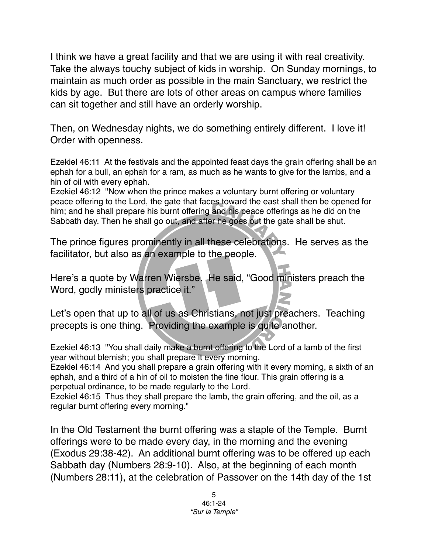I think we have a great facility and that we are using it with real creativity. Take the always touchy subject of kids in worship. On Sunday mornings, to maintain as much order as possible in the main Sanctuary, we restrict the kids by age. But there are lots of other areas on campus where families can sit together and still have an orderly worship.

Then, on Wednesday nights, we do something entirely different. I love it! Order with openness.

Ezekiel 46:11 At the festivals and the appointed feast days the grain offering shall be an ephah for a bull, an ephah for a ram, as much as he wants to give for the lambs, and a hin of oil with every ephah.

Ezekiel 46:12 "Now when the prince makes a voluntary burnt offering or voluntary peace offering to the Lord, the gate that faces toward the east shall then be opened for him; and he shall prepare his burnt offering and his peace offerings as he did on the Sabbath day. Then he shall go out, and after he goes out the gate shall be shut.

The prince figures prominently in all these celebrations. He serves as the facilitator, but also as an example to the people.

Here's a quote by Warren Wiersbe. He said, "Good ministers preach the Word, godly ministers practice it."

Let's open that up to all of us as Christians, not just preachers. Teaching precepts is one thing. Providing the example is quite another.

Ezekiel 46:13 "You shall daily make a burnt offering to the Lord of a lamb of the first year without blemish; you shall prepare it every morning.

Ezekiel 46:14 And you shall prepare a grain offering with it every morning, a sixth of an ephah, and a third of a hin of oil to moisten the fine flour. This grain offering is a perpetual ordinance, to be made regularly to the Lord.

Ezekiel 46:15 Thus they shall prepare the lamb, the grain offering, and the oil, as a regular burnt offering every morning."

In the Old Testament the burnt offering was a staple of the Temple. Burnt offerings were to be made every day, in the morning and the evening (Exodus 29:38-42). An additional burnt offering was to be offered up each Sabbath day (Numbers 28:9-10). Also, at the beginning of each month (Numbers 28:11), at the celebration of Passover on the 14th day of the 1st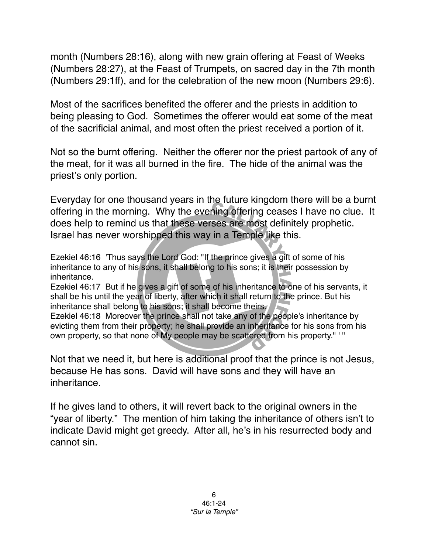month (Numbers 28:16), along with new grain offering at Feast of Weeks (Numbers 28:27), at the Feast of Trumpets, on sacred day in the 7th month (Numbers 29:1ff), and for the celebration of the new moon (Numbers 29:6).

Most of the sacrifices benefited the offerer and the priests in addition to being pleasing to God. Sometimes the offerer would eat some of the meat of the sacrificial animal, and most often the priest received a portion of it.

Not so the burnt offering. Neither the offerer nor the priest partook of any of the meat, for it was all burned in the fire. The hide of the animal was the priest's only portion.

Everyday for one thousand years in the future kingdom there will be a burnt offering in the morning. Why the evening offering ceases I have no clue. It does help to remind us that these verses are most definitely prophetic. Israel has never worshipped this way in a Temple like this.

Ezekiel 46:16 'Thus says the Lord God: "If the prince gives a gift of some of his inheritance to any of his sons, it shall belong to his sons; it is their possession by inheritance.

Ezekiel 46:17 But if he gives a gift of some of his inheritance to one of his servants, it shall be his until the year of liberty, after which it shall return to the prince. But his inheritance shall belong to his sons; it shall become theirs.

Ezekiel 46:18 Moreover the prince shall not take any of the people's inheritance by evicting them from their property; he shall provide an inheritance for his sons from his own property, so that none of My people may be scattered from his property." ' "

Not that we need it, but here is additional proof that the prince is not Jesus, because He has sons. David will have sons and they will have an inheritance.

If he gives land to others, it will revert back to the original owners in the "year of liberty." The mention of him taking the inheritance of others isn't to indicate David might get greedy. After all, he's in his resurrected body and cannot sin.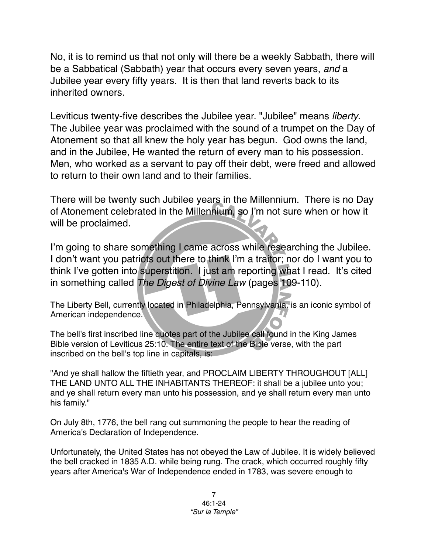No, it is to remind us that not only will there be a [weekly Sabbath,](http://www.biblestudy.org/godsrest/why-do-people-go-to-church-on-sunday-1.html) there will be a Sabbatical (Sabbath) year that occurs every [seven](http://www.biblestudy.org/bibleref/meaning-of-numbers-in-bible/7.html) years, *and* a Jubilee year every [fifty](http://www.biblestudy.org/bibleref/meaning-of-numbers-in-bible/50.html) years. It is then that land reverts back to its inherited owners.

Leviticus twenty-five describes the Jubilee year. "Jubilee" means *liberty*. The Jubilee year was proclaimed with the sound of a trumpet on the Day of Atonement so that all knew the holy year has begun. God owns the land, and in the Jubilee, He wanted the return of every man to his possession. Men, who worked as a servant to pay off their debt, were freed and allowed to return to their own land and to their families.

There will be twenty such Jubilee years in the Millennium. There is no Day of Atonement celebrated in the Millennium, so I'm not sure when or how it will be proclaimed.

I'm going to share something I came across while researching the Jubilee. I don't want you patriots out there to think I'm a traitor; nor do I want you to think I've gotten into superstition. I just am reporting what I read. It's cited in something called *The Digest of Divine Law* (pages 109-110).

The Liberty Bell, currently located in Philadelphia, Pennsylvania, is an iconic symbol of American independence.

The bell's first inscribed line quotes part of the Jubilee call found in the King James Bible version of Leviticus 25:10. The entire text of the Bible verse, with the part inscribed on the bell's top line in capitals, is:

"And ye shall hallow the fiftieth year, and PROCLAIM LIBERTY THROUGHOUT [ALL] THE LAND UNTO ALL THE INHABITANTS THEREOF: it shall be a jubilee unto you; and ye shall return every man unto his possession, and ye shall return every man unto his family."

On July 8th, 1776, the bell rang out summoning the people to hear the reading of America's Declaration of Independence.

Unfortunately, the [United States](http://www.biblestudy.org/prophecy/destiny-of-america.html) has not obeyed the Law of Jubilee. It is widely believed the bell cracked in 1835 A.D. while being rung. The crack, which occurred roughly fifty years after America's War of Independence ended in 1783, was severe enough to